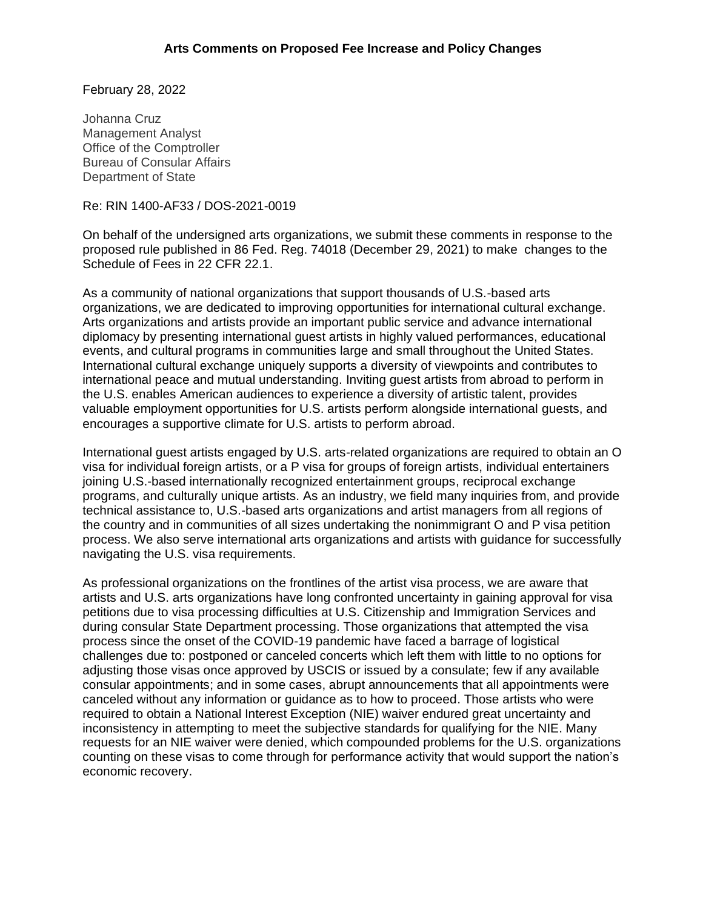February 28, 2022

Johanna Cruz Management Analyst Office of the Comptroller Bureau of Consular Affairs Department of State

Re: RIN 1400-AF33 / DOS-2021-0019

On behalf of the undersigned arts organizations, we submit these comments in response to the proposed rule published in 86 Fed. Reg. 74018 (December 29, 2021) to make changes to the Schedule of Fees in 22 CFR 22.1.

As a community of national organizations that support thousands of U.S.-based arts organizations, we are dedicated to improving opportunities for international cultural exchange. Arts organizations and artists provide an important public service and advance international diplomacy by presenting international guest artists in highly valued performances, educational events, and cultural programs in communities large and small throughout the United States. International cultural exchange uniquely supports a diversity of viewpoints and contributes to international peace and mutual understanding. Inviting guest artists from abroad to perform in the U.S. enables American audiences to experience a diversity of artistic talent, provides valuable employment opportunities for U.S. artists perform alongside international guests, and encourages a supportive climate for U.S. artists to perform abroad.

International guest artists engaged by U.S. arts-related organizations are required to obtain an O visa for individual foreign artists, or a P visa for groups of foreign artists, individual entertainers joining U.S.-based internationally recognized entertainment groups, reciprocal exchange programs, and culturally unique artists. As an industry, we field many inquiries from, and provide technical assistance to, U.S.-based arts organizations and artist managers from all regions of the country and in communities of all sizes undertaking the nonimmigrant O and P visa petition process. We also serve international arts organizations and artists with guidance for successfully navigating the U.S. visa requirements.

As professional organizations on the frontlines of the artist visa process, we are aware that artists and U.S. arts organizations have long confronted uncertainty in gaining approval for visa petitions due to visa processing difficulties at U.S. Citizenship and Immigration Services and during consular State Department processing. Those organizations that attempted the visa process since the onset of the COVID-19 pandemic have faced a barrage of logistical challenges due to: postponed or canceled concerts which left them with little to no options for adjusting those visas once approved by USCIS or issued by a consulate; few if any available consular appointments; and in some cases, abrupt announcements that all appointments were canceled without any information or guidance as to how to proceed. Those artists who were required to obtain a National Interest Exception (NIE) waiver endured great uncertainty and inconsistency in attempting to meet the subjective standards for qualifying for the NIE. Many requests for an NIE waiver were denied, which compounded problems for the U.S. organizations counting on these visas to come through for performance activity that would support the nation's economic recovery.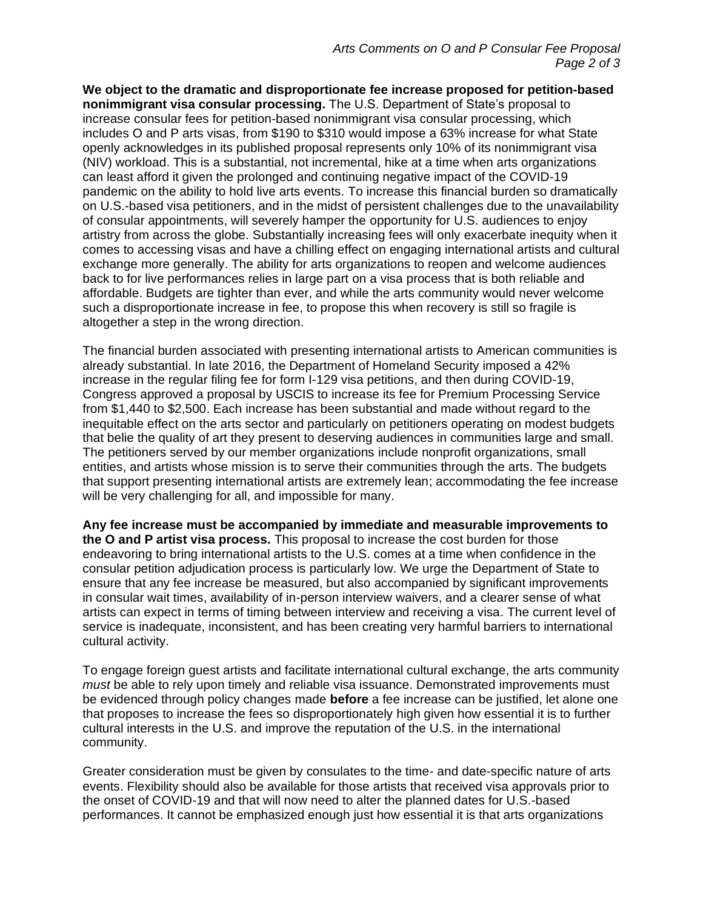**We object to the dramatic and disproportionate fee increase proposed for petition-based nonimmigrant visa consular processing.** The U.S. Department of State's proposal to increase consular fees for petition-based nonimmigrant visa consular processing, which includes O and P arts visas, from \$190 to \$310 would impose a 63% increase for what State openly acknowledges in its published proposal represents only 10% of its nonimmigrant visa (NIV) workload. This is a substantial, not incremental, hike at a time when arts organizations can least afford it given the prolonged and continuing negative impact of the COVID-19 pandemic on the ability to hold live arts events. To increase this financial burden so dramatically on U.S.-based visa petitioners, and in the midst of persistent challenges due to the unavailability of consular appointments, will severely hamper the opportunity for U.S. audiences to enjoy artistry from across the globe. Substantially increasing fees will only exacerbate inequity when it comes to accessing visas and have a chilling effect on engaging international artists and cultural exchange more generally. The ability for arts organizations to reopen and welcome audiences back to for live performances relies in large part on a visa process that is both reliable and affordable. Budgets are tighter than ever, and while the arts community would never welcome such a disproportionate increase in fee, to propose this when recovery is still so fragile is altogether a step in the wrong direction.

The financial burden associated with presenting international artists to American communities is already substantial. In late 2016, the Department of Homeland Security imposed a 42% increase in the regular filing fee for form I-129 visa petitions, and then during COVID-19, Congress approved a proposal by USCIS to increase its fee for Premium Processing Service from \$1,440 to \$2,500. Each increase has been substantial and made without regard to the inequitable effect on the arts sector and particularly on petitioners operating on modest budgets that belie the quality of art they present to deserving audiences in communities large and small. The petitioners served by our member organizations include nonprofit organizations, small entities, and artists whose mission is to serve their communities through the arts. The budgets that support presenting international artists are extremely lean; accommodating the fee increase will be very challenging for all, and impossible for many.

**Any fee increase must be accompanied by immediate and measurable improvements to the O and P artist visa process.** This proposal to increase the cost burden for those endeavoring to bring international artists to the U.S. comes at a time when confidence in the consular petition adjudication process is particularly low. We urge the Department of State to ensure that any fee increase be measured, but also accompanied by significant improvements in consular wait times, availability of in-person interview waivers, and a clearer sense of what artists can expect in terms of timing between interview and receiving a visa. The current level of service is inadequate, inconsistent, and has been creating very harmful barriers to international cultural activity.

To engage foreign guest artists and facilitate international cultural exchange, the arts community *must* be able to rely upon timely and reliable visa issuance. Demonstrated improvements must be evidenced through policy changes made **before** a fee increase can be justified, let alone one that proposes to increase the fees so disproportionately high given how essential it is to further cultural interests in the U.S. and improve the reputation of the U.S. in the international community.

Greater consideration must be given by consulates to the time- and date-specific nature of arts events. Flexibility should also be available for those artists that received visa approvals prior to the onset of COVID-19 and that will now need to alter the planned dates for U.S.-based performances. It cannot be emphasized enough just how essential it is that arts organizations